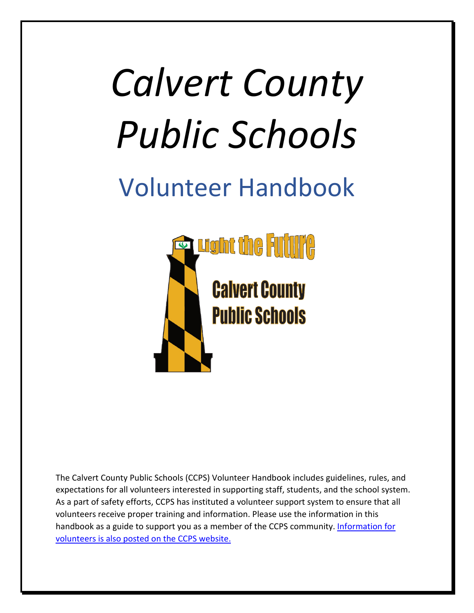# *Calvert County Public Schools*

# <span id="page-0-0"></span>Volunteer Handbook



The Calvert County Public Schools (CCPS) Volunteer Handbook includes guidelines, rules, and expectations for all volunteers interested in supporting staff, students, and the school system. As a part of safety efforts, CCPS has instituted a volunteer support system to ensure that all volunteers receive proper training and information. Please use the information in this handbook as a guide to support you as a member of the CCPS community. [Information for](https://www.calvertnet.k12.md.us/departments/instruction/instruction_program_information/become_a_volunteer) [volunteers is also posted on the CCPS website.](https://www.calvertnet.k12.md.us/departments/instruction/instruction_program_information/become_a_volunteer)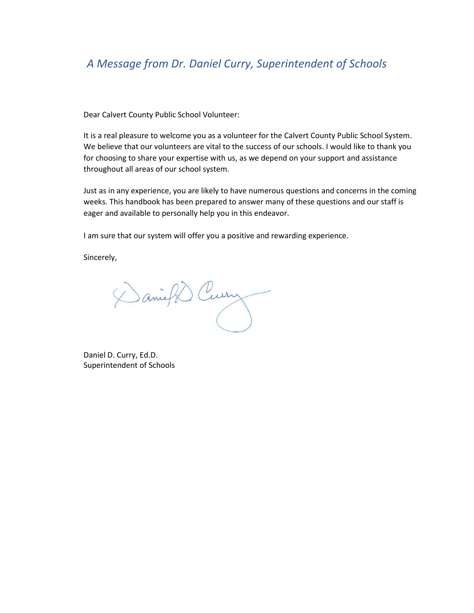## <span id="page-1-0"></span>*A Message from Dr. Daniel Curry, Superintendent of Schools*

Dear Calvert County Public School Volunteer:

It is a real pleasure to welcome you as a volunteer for the Calvert County Public School System. We believe that our volunteers are vital to the success of our schools. I would like to thank you for choosing to share your expertise with us, as we depend on your support and assistance throughout all areas of our school system.

Just as in any experience, you are likely to have numerous questions and concerns in the coming weeks. This handbook has been prepared to answer many of these questions and our staff is eager and available to personally help you in this endeavor.

I am sure that our system will offer you a positive and rewarding experience.

Sincerely,

Daniel Curry

Daniel D. Curry, Ed.D. Superintendent of Schools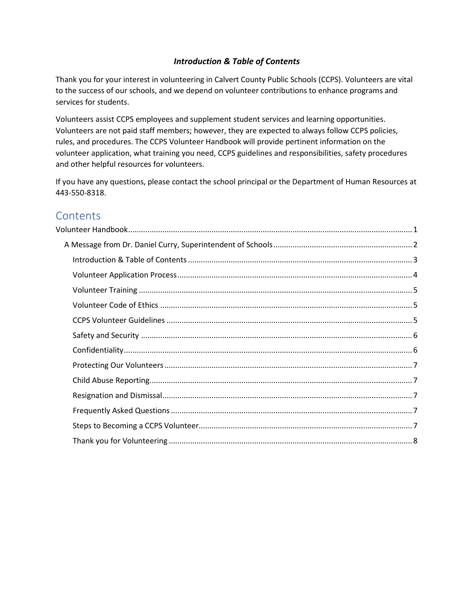#### *Introduction & Table of Contents*

<span id="page-2-0"></span>Thank you for your interest in volunteering in Calvert County Public Schools (CCPS). Volunteers are vital to the success of our schools, and we depend on volunteer contributions to enhance programs and services for students.

Volunteers assist CCPS employees and supplement student services and learning opportunities. Volunteers are not paid staff members; however, they are expected to always follow CCPS policies, rules, and procedures. The CCPS Volunteer Handbook will provide pertinent information on the volunteer application, what training you need, CCPS guidelines and responsibilities, safety procedures and other helpful resources for volunteers.

If you have any questions, please contact the school principal or the Department of Human Resources at 443-550-8318.

### **Contents**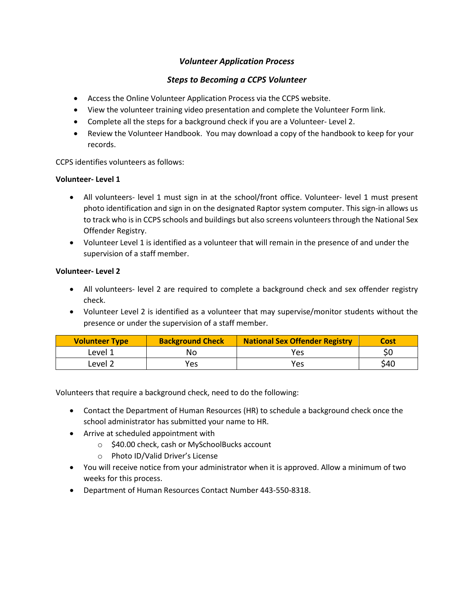#### *Volunteer Application Process*

#### *Steps to Becoming a CCPS Volunteer*

- <span id="page-3-0"></span>• Access the Online Volunteer Application Process via the CCPS website.
- View the volunteer training video presentation and complete the Volunteer Form link.
- Complete all the steps for a background check if you are a Volunteer- Level 2.
- Review the Volunteer Handbook. You may download a copy of the handbook to keep for your records.

CCPS identifies volunteers as follows:

#### **Volunteer- Level 1**

- All volunteers- level 1 must sign in at the school/front office. Volunteer- level 1 must present photo identification and sign in on the designated Raptor system computer. This sign-in allows us to track who is in CCPS schools and buildings but also screens volunteers through the National Sex Offender Registry.
- Volunteer Level 1 is identified as a volunteer that will remain in the presence of and under the supervision of a staff member.

#### **Volunteer- Level 2**

- All volunteers- level 2 are required to complete a background check and sex offender registry check.
- Volunteer Level 2 is identified as a volunteer that may supervise/monitor students without the presence or under the supervision of a staff member.

| <b>Volunteer Type</b> | <b>Background Check</b> | <b>National Sex Offender Registry</b> | Cost |
|-----------------------|-------------------------|---------------------------------------|------|
| Level 1               | Nο                      | Yes                                   |      |
| Level 2               | Yes                     | Yes                                   | \$40 |

Volunteers that require a background check, need to do the following:

- Contact the Department of Human Resources (HR) to schedule a background check once the school administrator has submitted your name to HR.
- Arrive at scheduled appointment with
	- o \$40.00 check, cash or MySchoolBucks account
	- o Photo ID/Valid Driver's License
- You will receive notice from your administrator when it is approved. Allow a minimum of two weeks for this process.
- Department of Human Resources Contact Number 443-550-8318.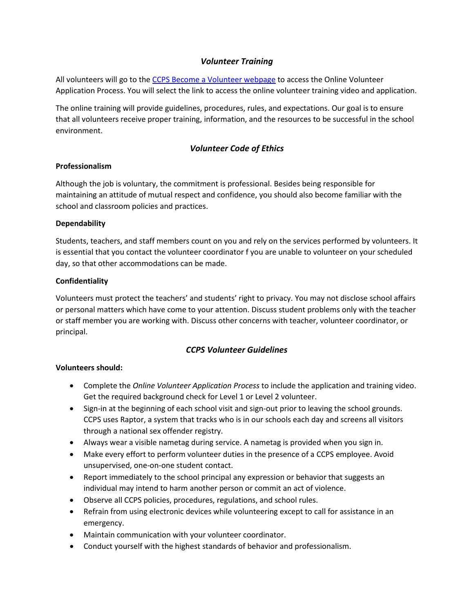#### *Volunteer Training*

<span id="page-4-0"></span>All volunteers will go to the [CCPS Become a Volunteer webpage](https://www.calvertnet.k12.md.us/departments/instruction/instruction_program_information/become_a_volunteer) to access the Online Volunteer Application Process. You will select the link to access the online volunteer training video and application.

The online training will provide guidelines, procedures, rules, and expectations. Our goal is to ensure that all volunteers receive proper training, information, and the resources to be successful in the school environment.

#### *Volunteer Code of Ethics*

#### <span id="page-4-1"></span>**Professionalism**

Although the job is voluntary, the commitment is professional. Besides being responsible for maintaining an attitude of mutual respect and confidence, you should also become familiar with the school and classroom policies and practices.

#### **Dependability**

Students, teachers, and staff members count on you and rely on the services performed by volunteers. It is essential that you contact the volunteer coordinator f you are unable to volunteer on your scheduled day, so that other accommodations can be made.

#### **Confidentiality**

Volunteers must protect the teachers' and students' right to privacy. You may not disclose school affairs or personal matters which have come to your attention. Discuss student problems only with the teacher or staff member you are working with. Discuss other concerns with teacher, volunteer coordinator, or principal.

#### *CCPS Volunteer Guidelines*

#### <span id="page-4-2"></span>**Volunteers should:**

- Complete the *Online Volunteer Application Process* to include the application and training video. Get the required background check for Level 1 or Level 2 volunteer.
- Sign-in at the beginning of each school visit and sign-out prior to leaving the school grounds. CCPS uses Raptor, a system that tracks who is in our schools each day and screens all visitors through a national sex offender registry.
- Always wear a visible nametag during service. A nametag is provided when you sign in.
- Make every effort to perform volunteer duties in the presence of a CCPS employee. Avoid unsupervised, one-on-one student contact.
- Report immediately to the school principal any expression or behavior that suggests an individual may intend to harm another person or commit an act of violence.
- Observe all CCPS policies, procedures, regulations, and school rules.
- Refrain from using electronic devices while volunteering except to call for assistance in an emergency.
- Maintain communication with your volunteer coordinator.
- Conduct yourself with the highest standards of behavior and professionalism.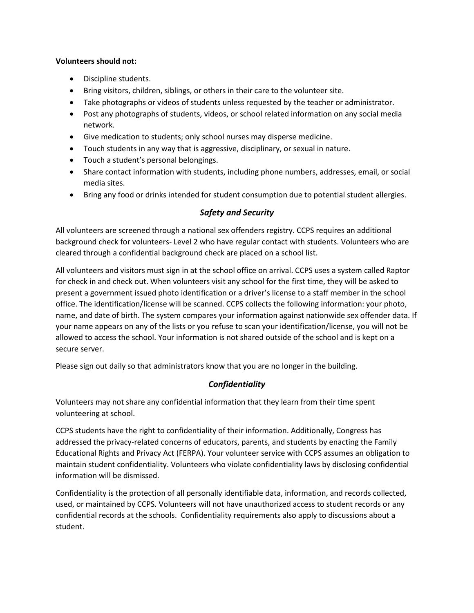#### **Volunteers should not:**

- Discipline students.
- Bring visitors, children, siblings, or others in their care to the volunteer site.
- Take photographs or videos of students unless requested by the teacher or administrator.
- Post any photographs of students, videos, or school related information on any social media network.
- Give medication to students; only school nurses may disperse medicine.
- Touch students in any way that is aggressive, disciplinary, or sexual in nature.
- Touch a student's personal belongings.
- Share contact information with students, including phone numbers, addresses, email, or social media sites.
- Bring any food or drinks intended for student consumption due to potential student allergies.

#### *Safety and Security*

<span id="page-5-0"></span>All volunteers are screened through a national sex offenders registry. CCPS requires an additional background check for volunteers- Level 2 who have regular contact with students. Volunteers who are cleared through a confidential background check are placed on a school list.

All volunteers and visitors must sign in at the school office on arrival. CCPS uses a system called Raptor for check in and check out. When volunteers visit any school for the first time, they will be asked to present a government issued photo identification or a driver's license to a staff member in the school office. The identification/license will be scanned. CCPS collects the following information: your photo, name, and date of birth. The system compares your information against nationwide sex offender data. If your name appears on any of the lists or you refuse to scan your identification/license, you will not be allowed to access the school. Your information is not shared outside of the school and is kept on a secure server.

<span id="page-5-1"></span>Please sign out daily so that administrators know that you are no longer in the building.

#### *Confidentiality*

Volunteers may not share any confidential information that they learn from their time spent volunteering at school.

CCPS students have the right to confidentiality of their information. Additionally, Congress has addressed the privacy-related concerns of educators, parents, and students by enacting the Family Educational Rights and Privacy Act (FERPA). Your volunteer service with CCPS assumes an obligation to maintain student confidentiality. Volunteers who violate confidentiality laws by disclosing confidential information will be dismissed.

Confidentiality is the protection of all personally identifiable data, information, and records collected, used, or maintained by CCPS. Volunteers will not have unauthorized access to student records or any confidential records at the schools. Confidentiality requirements also apply to discussions about a student.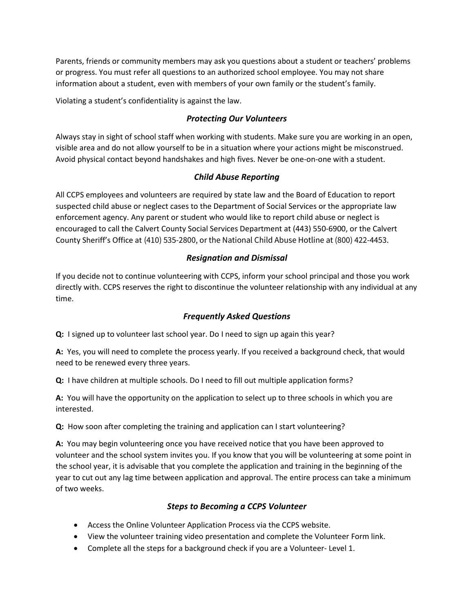Parents, friends or community members may ask you questions about a student or teachers' problems or progress. You must refer all questions to an authorized school employee. You may not share information about a student, even with members of your own family or the student's family.

<span id="page-6-0"></span>Violating a student's confidentiality is against the law.

#### *Protecting Our Volunteers*

Always stay in sight of school staff when working with students. Make sure you are working in an open, visible area and do not allow yourself to be in a situation where your actions might be misconstrued. Avoid physical contact beyond handshakes and high fives. Never be one-on-one with a student.

#### *Child Abuse Reporting*

<span id="page-6-1"></span>All CCPS employees and volunteers are required by state law and the Board of Education to report suspected child abuse or neglect cases to the Department of Social Services or the appropriate law enforcement agency. Any parent or student who would like to report child abuse or neglect is encouraged to call the Calvert County Social Services Department at (443) 550-6900, or the Calvert County Sheriff's Office at (410) 535-2800, or the National Child Abuse Hotline at (800) 422-4453.

#### *Resignation and Dismissal*

<span id="page-6-2"></span>If you decide not to continue volunteering with CCPS, inform your school principal and those you work directly with. CCPS reserves the right to discontinue the volunteer relationship with any individual at any time.

#### *Frequently Asked Questions*

<span id="page-6-3"></span>**Q:** I signed up to volunteer last school year. Do I need to sign up again this year?

**A:** Yes, you will need to complete the process yearly. If you received a background check, that would need to be renewed every three years.

**Q:** I have children at multiple schools. Do I need to fill out multiple application forms?

**A:** You will have the opportunity on the application to select up to three schools in which you are interested.

**Q:** How soon after completing the training and application can I start volunteering?

**A:** You may begin volunteering once you have received notice that you have been approved to volunteer and the school system invites you. If you know that you will be volunteering at some point in the school year, it is advisable that you complete the application and training in the beginning of the year to cut out any lag time between application and approval. The entire process can take a minimum of two weeks.

#### *Steps to Becoming a CCPS Volunteer*

- <span id="page-6-4"></span>• Access the Online Volunteer Application Process via the CCPS website.
- View the volunteer training video presentation and complete the Volunteer Form link.
- Complete all the steps for a background check if you are a Volunteer- Level 1.